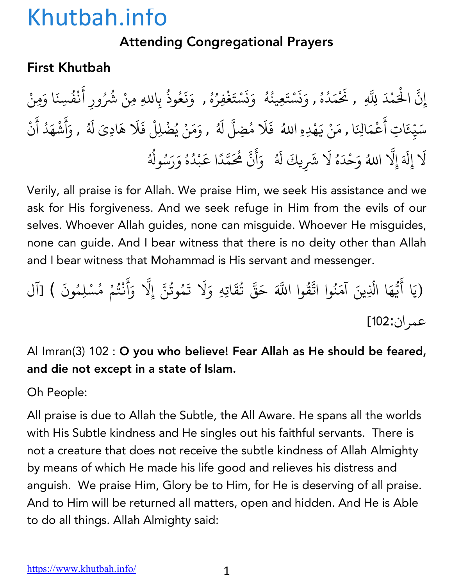#### Attending Congregational Prayers

#### First Khutbah

إِنَّ الْحَمْدَ لِلَّهِ , نَحْمَدُهُ , وَنَسْتَعِينُهُ ۚ وَنَسْتَغْفِرُهُ , وَنَعُوذُ بِاللهِ مِنْ شُرُ ِّ بِهِ ا ؚ<br>ؚ ्<br>। ز **∶** <u>ّ</u> ُ ∫<br>່ **∶** ز **∶** <u>ّ</u> ؚ<br>: ِّ بِ المستقبل المستقبل المستقبل المستقبل المستقبل المستقبل المستقبل المستقبل المستقبل المستقبل المستقبل المستقبل ال<br>والمستقبل المستقبل المستقبل المستقبل المستقبل المستقبل المستقبل المستقبل المستقبل المستقبل المستقبل المستقبل ا **∶ ∶** ُ بِاللهِ مِنْ شُرُورِ أَنْفُسِنَا وَمِنْ ់<br>: ْ ُ سَيِّعَاتِ أَعْمَالِنَا , مَنْ يَهْدِهِ اللهُ ۖ فَلَا مُضِلَّ لَهُ , وَمَنْ يُضْلِلْ فَلَا هَادِيَ لَهُ , وَأَشْهَدُ أَنْ ֺ<u>֓</u> ֧֦֧֝<u>֘</u> **∶** ْ **∶ ∶** ا<br>ا **∶** ا<br>ا **∶** أ **∶** ْ **∶** ْ لَا إِلَهَ إِلَّا اللهُ وَحْدَهُ لَا شَرِيكَ لَهُ ۚ وَأَنَّ هُٰحَمَّدًا عَبْدُهُ وَرَسُولُهُ **∶** ֧֖֧֦֧֪֚֚֚֝֝֝֬<br>֧֚֝ ∫<br>່ **∶ │** ्<br>। ا<br>المسلمانية<br>المسلمانية **∶** أ َ ֧֧֦֧֦֧֦֧֚֚֝֝֝֝֬<br>֧֚֚֝<br>֧֚֝ ֧֦֧֝<u>֘</u><br>֧ َ**Andrew Communication** ُ ُ ُ ا<br>ُ

Verily, all praise is for Allah. We praise Him, we seek His assistance and we ask for His forgiveness. And we seek refuge in Him from the evils of our selves. Whoever Allah guides, none can misguide. Whoever He misguides, none can guide. And I bear witness that there is no deity other than Allah and I bear witness that Mohammad is His servant and messenger.

(يَا أَيُّهَا الَّذِينَ آمَنُوا اتَّقُ ैं।<br>। .<br>י **∶** ֧֧֡֓֟֓֝֟֟֓<u>֓</u> ُ ্র<br>ব وا اللَّهَ حَقَّ تُقَاتِهِ وَلَا تَمُوتُنَّ إِلَّا وَأَنْتُمْ مُسْلِمُونَ ) [آل ُ **∶** المستقبل المستقبل المستقبل المستقبل المستقبل المستقبل المستقبل المستقبل المستقبل المستقبل المستقبل المستقبل ال<br>والمستقبل المستقبل المستقبل المستقبل المستقبل المستقبل المستقبل المستقبل المستقبل المستقبل المستقبل المستقبل ا ֧֖֧֦֧֦֧֦֚֚֚֝֝֝֬<br>֧֚֝<br>֧֚֝ **∶** ै<br>। ْ المستقبل المستقبل المستقبل المستقبل المستقبل المستقبل المستقبل المستقبل المستقبل المستقبل المستقبل المستقبل ال<br>والمستقبل المستقبل المستقبل المستقبل المستقبل المستقبل المستقبل المستقبل المستقبل المستقبل المستقبل المستقبل ا عمران:102]

Al Imran(3) 102 : O you who believe! Fear Allah as He should be feared, and die not except in a state of Islam.

Oh People:

All praise is due to Allah the Subtle, the All Aware. He spans all the worlds with His Subtle kindness and He singles out his faithful servants. There is not a creature that does not receive the subtle kindness of Allah Almighty by means of which He made his life good and relieves his distress and anguish. We praise Him, Glory be to Him, for He is deserving of all praise. And to Him will be returned all matters, open and hidden. And He is Able to do all things. Allah Almighty said: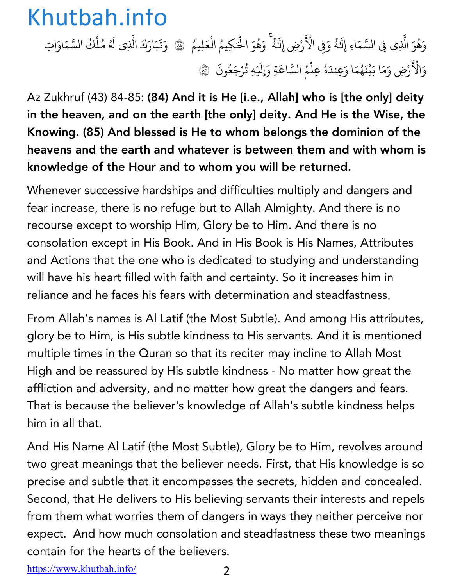وَهُوَ الَّذِي فِي السَّمَاءِ إِلَـٰهٌ وَفِي الْأَ ا<br>المسلمانية ٌَ ْ َ َرْضِ إِلَٰهٌ ۚ وَهُوَ الْحَكِيمُ الْعَلِيمُ ۚ ۞ وَتَبَارَكَ الَّذِي لَهُ مُلْكُ السَّمَاوَاتِ ٌ ا<br>المسلمانية **البابات** ֦֧<u>֓</u> **ृ ∶ : ∶** ُ وَالْأَ ْ َ رْضِ وَمَا بَيْنَهُمَا وَعِندَهُ عِلْمُ السَّاعَةِ وَإِلَيْهِ تُرْجَعُونَ ۞ ्<br>। ֦֧֘֒<u>֦</u> ्<br>। ै।<br>। ֦֧<u>֓</u> ֧֧֡֝֟֓֝֝֟֟֓֓<u>֓</u> ्<br>। ُ

Az Zukhruf (43) 84-85: (84) And it is He [i.e., Allah] who is [the only] deity in the heaven, and on the earth [the only] deity. And He is the Wise, the Knowing. (85) And blessed is He to whom belongs the dominion of the heavens and the earth and whatever is between them and with whom is knowledge of the Hour and to whom you will be returned.

Whenever successive hardships and difficulties multiply and dangers and fear increase, there is no refuge but to Allah Almighty. And there is no recourse except to worship Him, Glory be to Him. And there is no consolation except in His Book. And in His Book is His Names, Attributes and Actions that the one who is dedicated to studying and understanding will have his heart filled with faith and certainty. So it increases him in reliance and he faces his fears with determination and steadfastness.

From Allah's names is Al Latif (the Most Subtle). And among His attributes, glory be to Him, is His subtle kindness to His servants. And it is mentioned multiple times in the Quran so that its reciter may incline to Allah Most High and be reassured by His subtle kindness - No matter how great the affliction and adversity, and no matter how great the dangers and fears. That is because the believer's knowledge of Allah's subtle kindness helps him in all that.

And His Name Al Latif (the Most Subtle), Glory be to Him, revolves around two great meanings that the believer needs. First, that His knowledge is so precise and subtle that it encompasses the secrets, hidden and concealed. Second, that He delivers to His believing servants their interests and repels from them what worries them of dangers in ways they neither perceive nor expect. And how much consolation and steadfastness these two meanings contain for the hearts of the believers.

https://www.khutbah.info/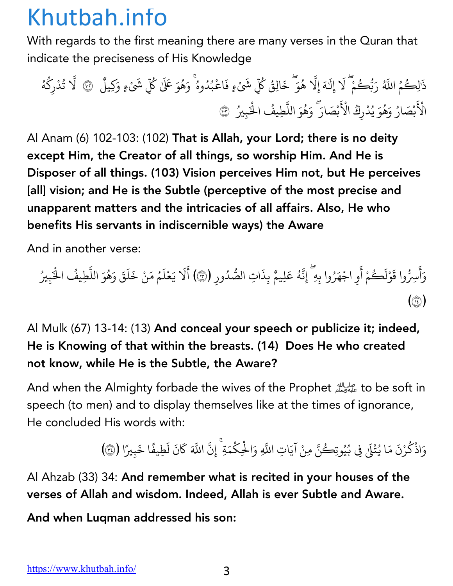With regards to the first meaning there are many verses in the Quran that indicate the preciseness of His Knowledge

ذ َ <sup>م</sup> ُ لِك ٰ ُّ ا+ ُ ر َ ك ب ُ ّ م ْ Z إِل َ َ ه ٰ إِZ َ ّ ه ُ و خ َ <sup>ك</sup> ُ الِق َ ۖ ِ ش ُّ ٍء ف ْ َ اع َ ْ ب د ُ وه ُ و ُ ه َ ۚ ُ ِ <sup>ش</sup> ُّ ٰ <sup>ك</sup> ََ َ <sup>Ü</sup> <sup>و</sup> كِيل َ ٍء <sup>و</sup> ْ َ ٌ <sup>Z</sup> <sup>à</sup> ّ ت ُ د ْ كِر ُ ه ُ ال ْ َ ب ص ْ ار َ و ُ ه َ ُ و ي َ د ُ ْ ِكر ال ُ ْ َ ب ص ْ ار َ و َ ه َ ۖ ُ و الل َ ّ ال ُ ِطيف ْ َ ِي ب ُ é

Al Anam (6) 102-103: (102) That is Allah, your Lord; there is no deity except Him, the Creator of all things, so worship Him. And He is Disposer of all things. (103) Vision perceives Him not, but He perceives [all] vision; and He is the Subtle (perceptive of the most precise and unapparent matters and the intricacies of all affairs. Also, He who benefits His servants in indiscernible ways) the Aware

And in another verse:

وَأَسِرُّوا قَوْلَكُمْ أَوِ اجْهَرُوا بِهِ ۖ إِنَّهُ عَلِيمٌ بِذَاتِ الصُّدُورِ (٣) أَلَا يَعْلَمُ مَنْ خَلَقَ وَهُوَ اللَّطِيفُ الْخَبِيرُ ्<br>। أ **∶** ֦֧<u>֓</u> َ ؚ<br>ا : ٌ**: ّ** ׇ֧֡֡֟֓<u>֦</u> ै।<br>। َ ै।<br>। ُ **ّ** ؚ<br>֧֖֧֪֦֖֦֖֦֖֦֖֧֦֖֧֦֖֧֦֧֦֖֧֦֧֦֧֦֧֦֧֦֧֦֟֟֓֟֬֟֓֟֬֟֓֟֓֡֬֟֓֡֬֟֓֡֬֟֩֬֓֓֟֓֬֟֓֩֬֓֝֬֓֬֓֬֬ ै।<br>। ُ  $\binom{3}{1}$ 

#### Al Mulk (67) 13-14: (13) And conceal your speech or publicize it; indeed, He is Knowing of that within the breasts. (14) Does He who created not know, while He is the Subtle, the Aware?

And when the Almighty forbade the wives of the Prophet على الله and when the Almighty forbade the wives of the speech (to men) and to display themselves like at the times of ignorance, He concluded His words with:

> وَاذْكُرْنَ مَا يُتْلَىٰ فِي بُيُوتِكُنَّ مِنْ آيَاتِ اللَّهِ وَالْحِكْمَةِ ۚ إِنَّ اللَّهَ كَانَ لَطِيفًا خَبِيرًا (٣١) ֦֧<u>֓</u> ُ ُِّ ا <u>:</u> ّ**البابات** ֧֘֒<u>֓</u> ֧֧֦֧֧֦֧֧֦֧֧֧֦֧֧֧֧֧֧֧֧֧֝֟֓֕֝֟֓֕֬֝֬֝֬֓֜֬֓֜֜֬֝֬֓֜֜֬֓֜֜֬֬֓֜֜֜֜֬֜ َ

Al Ahzab (33) 34: And remember what is recited in your houses of the verses of Allah and wisdom. Indeed, Allah is ever Subtle and Aware.

And when Luqman addressed his son: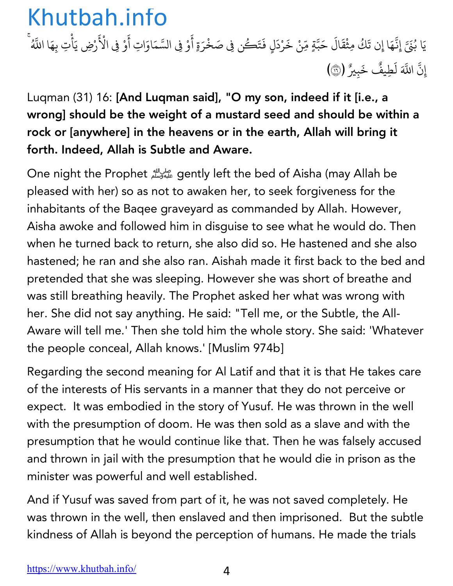يَا بُنَيَّ إِنَّهَا إِن تَكُ مِثْقَالَ حَبَّةٍ مِّنْ خَرْدَلٍ فَتَكُن فِي صَخْرَةٍ أَوْ فِي السَّمَاوَاتِ أَوْ ֧֧֦֧֧֦֧֧֦֧֧֧֦֧֧֧֧֧֧֧֧֧֝֟֓֕֝֟֓֕֬֝֬֝֬֓֜֬֓֜֜֬֝֬֓֜֜֬֓֜֜֬֬֓֜֜֜֜֬֜ ؚ<br>; ์<br>-<br>-֧֧֦֧֖֖֧֖֧֦֖֖֧֧ׅ֧֧֧֧֧֦֧֚֚֚֚֚֝֟֓֕֝֟֓֕֬֝֬֝֝֬֝֟֓֬֓֝֬֓֜֓֓֜֜֬֝֬֓֜֜֜֬ َ ֦֧֘֒<u>֦</u> **∶** ؚ<br>ا ֧֦֧֦֧֦֧֦֧֦֧ׅ֝֝֝֜֓֡֜*֟* ֧֦֧֦֧֦֧֦֧֦֧ׅ֝֝֝֜֓֡֜*֟* َ ِْ فِي الْأَرْضِ يَأْتِ بِهَا اللَّهُ **∶** إِنَّ اللَّهَ لَطِيفٌ خَبِيرٌ (۞) ֧֧֦֧֖֖֧֖֧֦֖֖֧֧ׅ֧֧֧֧֧֦֧֚֚֚֚֚֝֟֓֕֝֟֓֕֬֝֬֝֝֬֝֟֓֬֓֝֬֓֜֓֓֜֜֬֝֬֓֜֜֜֬ ٌَ

Luqman (31) 16: [And Luqman said], "O my son, indeed if it [i.e., a wrong] should be the weight of a mustard seed and should be within a rock or [anywhere] in the heavens or in the earth, Allah will bring it forth. Indeed, Allah is Subtle and Aware.

One night the Prophet !gently left the bed of Aisha (may Allah be pleased with her) so as not to awaken her, to seek forgiveness for the inhabitants of the Baqee graveyard as commanded by Allah. However, Aisha awoke and followed him in disguise to see what he would do. Then when he turned back to return, she also did so. He hastened and she also hastened; he ran and she also ran. Aishah made it first back to the bed and pretended that she was sleeping. However she was short of breathe and was still breathing heavily. The Prophet asked her what was wrong with her. She did not say anything. He said: "Tell me, or the Subtle, the All-Aware will tell me.' Then she told him the whole story. She said: 'Whatever the people conceal, Allah knows.' [Muslim 974b]

Regarding the second meaning for Al Latif and that it is that He takes care of the interests of His servants in a manner that they do not perceive or expect. It was embodied in the story of Yusuf. He was thrown in the well with the presumption of doom. He was then sold as a slave and with the presumption that he would continue like that. Then he was falsely accused and thrown in jail with the presumption that he would die in prison as the minister was powerful and well established.

And if Yusuf was saved from part of it, he was not saved completely. He was thrown in the well, then enslaved and then imprisoned. But the subtle kindness of Allah is beyond the perception of humans. He made the trials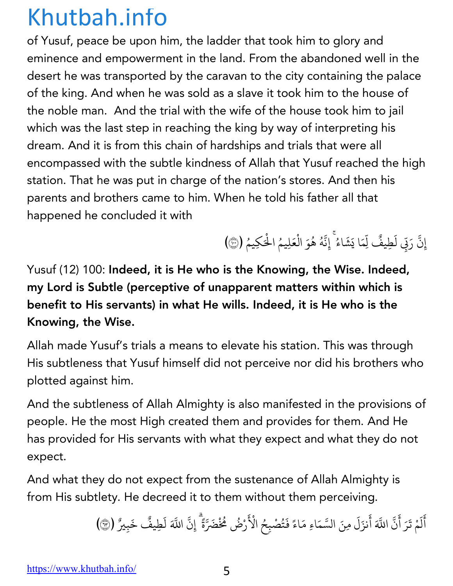of Yusuf, peace be upon him, the ladder that took him to glory and eminence and empowerment in the land. From the abandoned well in the desert he was transported by the caravan to the city containing the palace of the king. And when he was sold as a slave it took him to the house of the noble man. And the trial with the wife of the house took him to jail which was the last step in reaching the king by way of interpreting his dream. And it is from this chain of hardships and trials that were all encompassed with the subtle kindness of Allah that Yusuf reached the high station. That he was put in charge of the nation's stores. And then his parents and brothers came to him. When he told his father all that happened he concluded it with

> إِنَّ رَبِّي لَطِيفٌ لِّمَا يَشَاءُ ۚ إِنَّهُ هُوَ الْعَلِيمُ الْحَكِيمُ (۞) ֧֧֦֧֖֖֧֖֧֦֖֖֧֧ׅ֧֧֧֧֧֦֧֚֚֚֚֚֝֟֓֕֝֟֓֕֬֝֬֝֝֬֝֟֓֬֓֝֬֓֜֓֓֜֜֬֝֬֓֜֜֜֬ **. .** : ∫<br>≀ **البابات**

Yusuf (12) 100: Indeed, it is He who is the Knowing, the Wise. Indeed, my Lord is Subtle (perceptive of unapparent matters within which is benefit to His servants) in what He wills. Indeed, it is He who is the Knowing, the Wise.

Allah made Yusuf's trials a means to elevate his station. This was through His subtleness that Yusuf himself did not perceive nor did his brothers who plotted against him.

And the subtleness of Allah Almighty is also manifested in the provisions of people. He the most High created them and provides for them. And He has provided for His servants with what they expect and what they do not expect.

And what they do not expect from the sustenance of Allah Almighty is from His subtlety. He decreed it to them without them perceiving.

> أَلَمْ تَرَ أَنَّ اللَّهَ أَنزَلَ مِنَ السَّمَاءِ مَاءً فَتُصْبِحُ الْأَ َ ل ्<br>। **∶ ∶ :** ैं।<br>। **ृ** ْ َ رْضُ مُخْضَرَّةً ۚ إِنَّ اللَّهَ لَطِيفٌ خَبِيرٌ (٣) ٌَ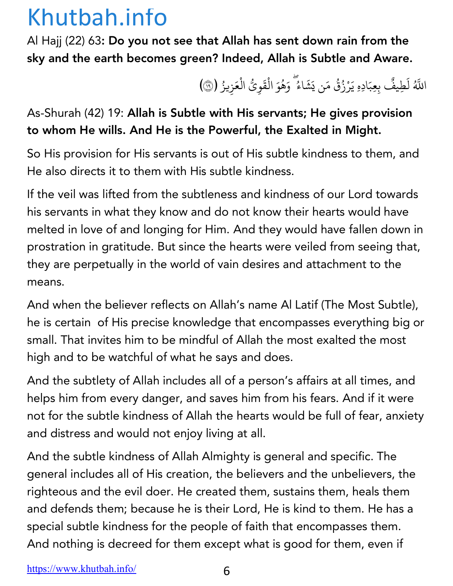Al Hajj (22) 63: Do you not see that Allah has sent down rain from the sky and the earth becomes green? Indeed, Allah is Subtle and Aware.

> اللَّهُ لَطِيفٌ بِعِبَادِهِ يَرْزُقُ مَن يَشَاءُ ۖ وَهُوَ الْقَوِيُّ الْعَزِيزُ (۞) ٌ**ृ** ؚ<br>ۣ ْ **∶** ֦֧֧֘֟֟֓<u>֚</u> َ

As-Shurah (42) 19: Allah is Subtle with His servants; He gives provision to whom He wills. And He is the Powerful, the Exalted in Might.

So His provision for His servants is out of His subtle kindness to them, and He also directs it to them with His subtle kindness.

If the veil was lifted from the subtleness and kindness of our Lord towards his servants in what they know and do not know their hearts would have melted in love of and longing for Him. And they would have fallen down in prostration in gratitude. But since the hearts were veiled from seeing that, they are perpetually in the world of vain desires and attachment to the means.

And when the believer reflects on Allah's name Al Latif (The Most Subtle), he is certain of His precise knowledge that encompasses everything big or small. That invites him to be mindful of Allah the most exalted the most high and to be watchful of what he says and does.

And the subtlety of Allah includes all of a person's affairs at all times, and helps him from every danger, and saves him from his fears. And if it were not for the subtle kindness of Allah the hearts would be full of fear, anxiety and distress and would not enjoy living at all.

And the subtle kindness of Allah Almighty is general and specific. The general includes all of His creation, the believers and the unbelievers, the righteous and the evil doer. He created them, sustains them, heals them and defends them; because he is their Lord, He is kind to them. He has a special subtle kindness for the people of faith that encompasses them. And nothing is decreed for them except what is good for them, even if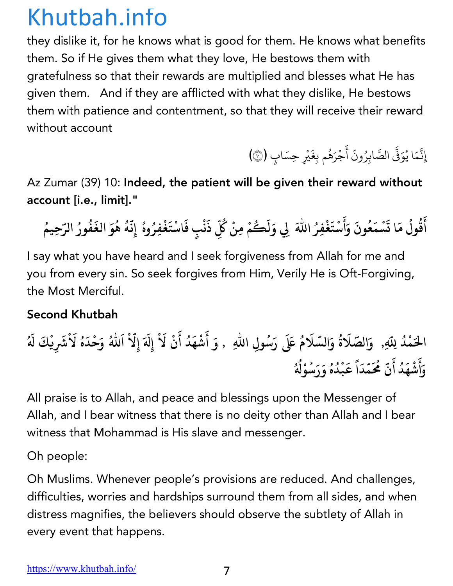they dislike it, for he knows what is good for them. He knows what benefits them. So if He gives them what they love, He bestows them with gratefulness so that their rewards are multiplied and blesses what He has given them. And if they are afflicted with what they dislike, He bestows them with patience and contentment, so that they will receive their reward without account

إِنَّمَا يُوَفَّى الصَّابِرُونَ أَجْرَهُم بِغَيْرِ حِسَابٍ (۞) : ِّ ا **ّ** ֧֡֝֟<u>֓</u> **∶** أ َ ؚ<br>ا

Az Zumar (39) 10: Indeed, the patient will be given their reward without account [i.e., limit]."

أَقُولُ مَا تَسْمَعُونَ وَأَسْتَغْفِرُ اللّٰهَ لِي وَلَكُمْ مِنْ كُلِّ ذَنْبٍ فَاسْتَغْفِرُوهُ إِنَّهُ هُوَ الغَفُورُ الرّحِيمُ **َ ُ ُ َ َ ُ َ َ ْ َ َُ ُ ِ َ ْ َ ُ َّ ُ ُ َ ُ ُ ُ**

I say what you have heard and I seek forgiveness from Allah for me and you from every sin. So seek forgives from Him, Verily He is Oft-Forgiving, the Most Merciful.

#### Second Khutbah

الْحَمْدُ لِلّهِ, ۚ وَالصَّلَاةُ وَالسَّلَامُ عَلَى رَسُولِ اللّهِ ۚ , وَ أَشْهَدُ أَنْ لَاْ إِلَهَ إِلّاْ اَللهُ وَحْدَهُ لَاْشَرِيْكَ لَهُ **And the contract of the contract of the contract of the contract of the contract of the contract of the contract of the contract of the contract of the contract of the contract of the contract of the contract of the contr ُ َ ُ َ ُ َ ْ َ َ َ َ ُ َ َ َ ُ و أ ش ه د أ ن م َّ َُ َ َ ْ َ ُ َ م د ق ب د ه و ر َ س َ و ْ W َّ َ ا ً َ ْ ُ ُ ُ ُ ُ**

All praise is to Allah, and peace and blessings upon the Messenger of Allah, and I bear witness that there is no deity other than Allah and I bear witness that Mohammad is His slave and messenger.

Oh people:

Oh Muslims. Whenever people's provisions are reduced. And challenges, difficulties, worries and hardships surround them from all sides, and when distress magnifies, the believers should observe the subtlety of Allah in every event that happens.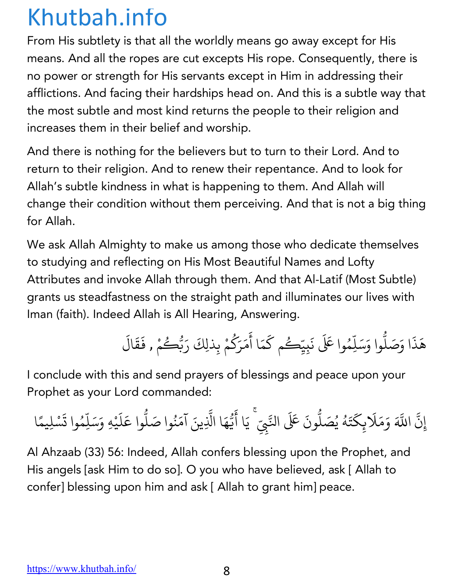From His subtlety is that all the worldly means go away except for His means. And all the ropes are cut excepts His rope. Consequently, there is no power or strength for His servants except in Him in addressing their afflictions. And facing their hardships head on. And this is a subtle way that the most subtle and most kind returns the people to their religion and increases them in their belief and worship.

And there is nothing for the believers but to turn to their Lord. And to return to their religion. And to renew their repentance. And to look for Allah's subtle kindness in what is happening to them. And Allah will change their condition without them perceiving. And that is not a big thing for Allah.

We ask Allah Almighty to make us among those who dedicate themselves to studying and reflecting on His Most Beautiful Names and Lofty Attributes and invoke Allah through them. And that Al-Latif (Most Subtle) grants us steadfastness on the straight path and illuminates our lives with Iman (faith). Indeed Allah is All Hearing, Answering.

> هَذَا وَصَلُّوا وَسَلِّهُ .<br>י ֧֦֧֝<u>֘</u> وا عَلَى نَبِيِّكُم كَمَا أَمَرَكُمْ بِذلِكَ رَبُّكُ **∶** َ **∶** ∫<br>∫ **∶** ر<br>گ ِ<br>مْ , فَقَالَ **∶ ∶**

I conclude with this and send prayers of blessings and peace upon your Prophet as your Lord commanded:

إِن ֧֡֡֟֓<u>֚</u> ्<br>द اللَّهَ وَمَلَابِكَتَهُ يُصَلُّونَ عَلَى النَّبِيِّ ۚ يَا أَيُّهَا الَّذِينَ آمَنُوا صَلُّوا عَلَيْهِ وَسَلِّمُوا تَسْلِيمًا **∶** ֺ<u>֓</u> **∶** ُ ِّ بِيَّةٍ بِيَّةٍ بِيَّةٍ بِيَانِيَةٍ بِيَانِيَةٍ بِيَانِيَةٍ بِيَانِيَةٍ بِيَانِيَةٍ بِيَانِيَةٍ بِيَانِيَةٍ **.**<br>. ֧֡֝֟֓<u>֓</u>֖֓֝ **∶** <u>:</u> ֧֡֡֟֟֟֟֟֟֟֟֟֟<u>֟</u> **∶** ِّ بِيَّةٍ بِيَّةٍ بِيَّةٍ بِيَانِيَةٍ بِيَانِيَةٍ بِيَانِيَةٍ بِيَانِيَةٍ بِيَانِيَةٍ بِيَانِيَةٍ بِيَانِيَةٍ **.**<br>. َ**∶ ا**<br>ا **∶ ا**<br>ا

Al Ahzaab (33) 56: Indeed, Allah confers blessing upon the Prophet, and His angels [ask Him to do so]. O you who have believed, ask [ Allah to confer] blessing upon him and ask [ Allah to grant him] peace.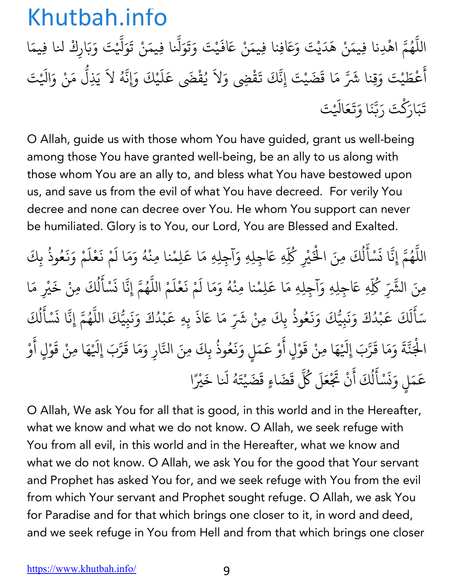اللَّهُمَّ اهْدِنا فِيمَنْ هَدَيْتَ وَعَافِنا فِيمَنْ عَافَيْتَ وَتَوَلَّنا فِيمَنْ تَوَلَّيْتَ وَبَارِكْ لنا فِيمَا ֧֦֧֦֧֦֧֦֧֚֝֝֝֝֬<br>֧֚֝<br>֧֚֝ المستقبل المستقبل المستقبل المستقبل المستقبل المستقبل المستقبل المستقبل المستقبل المستقبل المستقبل المستقبل ال<br>والمستقبل المستقبل المستقبل المستقبل المستقبل المستقبل المستقبل المستقبل المستقبل المستقبل المستقبل المستقبل ا ة<br>. **∶ ∶ ∶** ؚ<br>ׇ֚֡֡<br>ׇׇ֖֖֖֖֖֪֪֪֪֪ׅ֚֚֚֚֚֡֡֬֝֬֝֬֝֬֝֬֝֬֝֬֝֬֝֬֝֬֝֬֝֝֬֝֬<u>֖֖֖֖֖֖֚֚֚֚</u><br>֚ َ ֧֧֦֧֖֚֚֚֚֝֝֟֓֕֬֝ **∶** ؚ<br>ؚ<br>ؚ أ َ ءُطَيْتَ وَقِنا شَرَّ مَا قَضَيْتَ إِنَّكَ تَقْضِي وَلاَ يُقْضَى عَلَيْكَ وَإِنَّهُ لاَ يَذِلُّ مَنْ وَالَيْتَ **∶ ∶ ∶** ِّ بِهِ ا ֢ׅ֢ׅ֢ׅ֧֦֧֦֧֦֧֚֝֝֟֟֟֟֟֟֟֟֟֜֓֟֓֡֟֟֟֟֜֟֜֓֟֟֓֟֟֓ **∶** ֧֡֝֟֓֝֟֟֟֜*֟* **∶** ֧֖֧֦֧֚֝֝<u>֘</u> تَبَارَكْتَ رَبَّنَا وَتَعَالَيْتَ **∶ َ** ्<br>। **ّ ∶ ∶** 

O Allah, guide us with those whom You have guided, grant us well-being among those You have granted well-being, be an ally to us along with those whom You are an ally to, and bless what You have bestowed upon us, and save us from the evil of what You have decreed. For verily You decree and none can decree over You. He whom You support can never be humiliated. Glory is to You, our Lord, You are Blessed and Exalted.

اللَّهُمَّ إِنَّا نَسْأَلُكَ مِنَ الْخَيْرِ كُلِّهِ عَاجِلِهِ وَآجِلِهِ مَا عَلِمْنا مِنْهُ وَمَا لَمْ نَعْلَمْ وَنَعُوذُ بِكَ ֧֧֦֖֖֚֚֚֚֚֚֝֝֬֝<br>֧֚֝<br>֧֚֝ ُ **∶** .<br>ا **∶** ل ُ ؚ<br>ۣ ْ∫<br>≀ **∶ ∶** ١, **∶ ∶ ∶** المستقبل المستقبل المستقبل المستقبل المستقبل المستقبل المستقبل المستقبل المستقبل المستقبل المستقبل المستقبل ال<br>والمستقبل المستقبل المستقبل المستقبل المستقبل المستقبل المستقبل المستقبل المستقبل المستقبل المستقبل المستقبل ا ؚ<br>ؚ مِنَ الشَّرِّ كُلِّهِ عَاجِلِهِ وَآجِلِهِ مَا عَلِمْنا مِنْهُ وَمَا لَمْ نَعْلَمْ اللَّهُمَّ إِنَّا نَسْأَلُكَ مِنْ خَيْرِ مَا ∫<br>່ **∶ ∶** ١, ्<br>। .<br>י ُ **∶** ؚ<br>ا ់<br>: ل ُ ्<br>। سَأَلَكَ عَبْدُكَ وَنَبِيُّكَ وَنَعُوذُ بِكَ ֺ<u>֓</u> **ृ** ل **∶** ֚֝֝֟֟֓֝֟֟֟֟֟֓֝֟֟֓֝֬֝֟֟֟֓֝֬ **Andrew Communication ∶ ∶ ∶ ∶** ُ ، مِنْ شَرِّ مَا عَاذَ بِهِ عَبْدُكَ وَنَبِيُّكَ اللَّهُمَّ إِنَّا نَسْأَلُكَ **∶** ֧֝֝֟֟֓֝֝֟֟֟֟֜*֟* ْ **∶ ∶** <u>:</u> ُ **∶** <u>َ</u> .<br>نا ل ُ ؚ<br>ؚ الْجَنَّةَ وَمَا قَرَّبَ إِلَيْهَا مِنْ قَوْلٍ أَوْ عَمَلٍ وَنَعُوذُ بِكَ مِنَ النَّارِ وَمَا قَرَّبَ إِلَيْهَا مِنْ قَوْلٍ أَوْ ْ **∶** ֧֖֧֦֖֚֚֚֝֝֝֬<br>֧֚֚֝ ؚ<br>: **، ∶** ْ **∶ ∶** ֚֝֝֟֟֓֝֝֟֟֟֓֝֬֝ **∶ ∶** ُ ֧֖֧֦֧֦֧֦֚֚֚֝֝֝֬<br>֧֚֝<br>֧֚֝ **∶** ֧֧֧֝֟֓֕֝֬֟֓֕֬֝֬֝֬֝֬֝֬֝֬֝֬֝֬֝֬֝֬֝֬֝֟֓֬֝֬֝֟֓֬֝֬֓ **∶** ْ **∶** َ ْ عَمَلٍ وَنَسْأَلُكَ أَنْ تَجْ ؚ<br>֧֡֡֟֟֟֓֟֓֟֓֟֟֓֟֓֝֬֝֟֟֓֝֬֝֟<u>֓</u> **∶** ز **∶** <u>َّ</u> ֧֦֦֧֚֝֝<u>֓</u> ل ِّ بِهِ ا **∶** مَلَ كُلَّ قَضَاءٍ قَضَيْتَهُ لَنا خَيْرً **∶ Andrew Communication ∶** ا

O Allah, We ask You for all that is good, in this world and in the Hereafter, what we know and what we do not know. O Allah, we seek refuge with You from all evil, in this world and in the Hereafter, what we know and what we do not know. O Allah, we ask You for the good that Your servant and Prophet has asked You for, and we seek refuge with You from the evil from which Your servant and Prophet sought refuge. O Allah, we ask You for Paradise and for that which brings one closer to it, in word and deed, and we seek refuge in You from Hell and from that which brings one closer